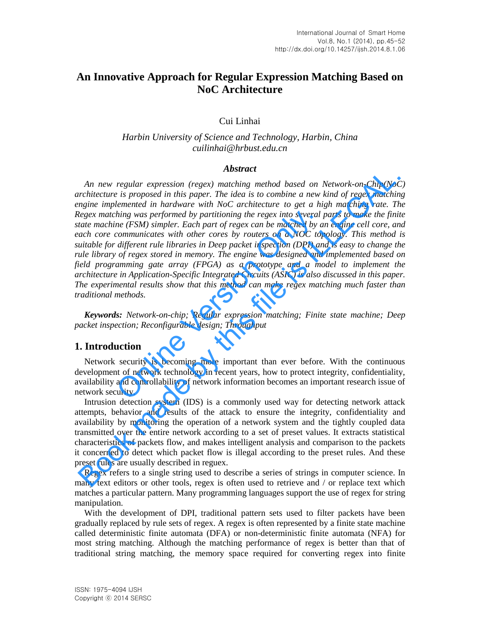# **An Innovative Approach for Regular Expression Matching Based on NoC Architecture**

Cui Linhai

# *Harbin University of Science and Technology, Harbin, China cuilinhai@hrbust.edu.cn*

#### *Abstract*

*An new regular expression (regex) matching method based on Network-on-Chip(NoC) architecture is proposed in this paper. The idea is to combine a new kind of regex matching engine implemented in hardware with NoC architecture to get a high matching rate. The Regex matching was performed by partitioning the regex into several parts to make the finite state machine (FSM) simpler. Each part of regex can be matched by an engine cell core, and each core communicates with other cores by routers on a NOC topology. This method is suitable for different rule libraries in Deep packet inspection (DPI) and is easy to change the rule library of regex stored in memory. The engine was designed and implemented based on field programming gate array (FPGA) as a prototype and a model to implement the architecture in Application-Specific Integrated Circuits (ASIC) is also discussed in this paper. The experimental results show that this method can make regex matching much faster than traditional methods.*  hing was performed by partitioning the regex into several<br>ne (FSM) simpler. Each part of regex can be matched by a<br>communicates with other cores by routers on a NOC top<br>different rule libraries in Deep packet inspection (D An new regular expression (regex) madeling method based on Network-on-Chip(NoC<br>rchitecture is proposed in this paper. The idea is to combine a new kind of regex matching<br>negine implemented in hardware with NoC architectur

*Keywords: Network-on-chip; Regular expression matching; Finite state machine; Deep packet inspection; Reconfigurable design; Throughput*

# **1. Introduction**

Network security is becoming more important than ever before. With the continuous development of network technology in recent years, how to protect integrity, confidentiality, availability and controllability of network information becomes an important research issue of network security.

Intrusion detection system (IDS) is a commonly used way for detecting network attack attempts, behavior and results of the attack to ensure the integrity, confidentiality and availability by monitoring the operation of a network system and the tightly coupled data transmitted over the entire network according to a set of preset values. It extracts statistical characteristics of packets flow, and makes intelligent analysis and comparison to the packets it concerned to detect which packet flow is illegal according to the preset rules. And these preset rules are usually described in reguex.

Regex refers to a single string used to describe a series of strings in computer science. In many text editors or other tools, regex is often used to retrieve and / or replace text which matches a particular pattern. Many programming languages support the use of regex for string manipulation.

With the development of DPI, traditional pattern sets used to filter packets have been gradually replaced by rule sets of regex. A regex is often represented by a finite state machine called deterministic finite automata (DFA) or non-deterministic finite automata (NFA) for most string matching. Although the matching performance of regex is better than that of traditional string matching, the memory space required for converting regex into finite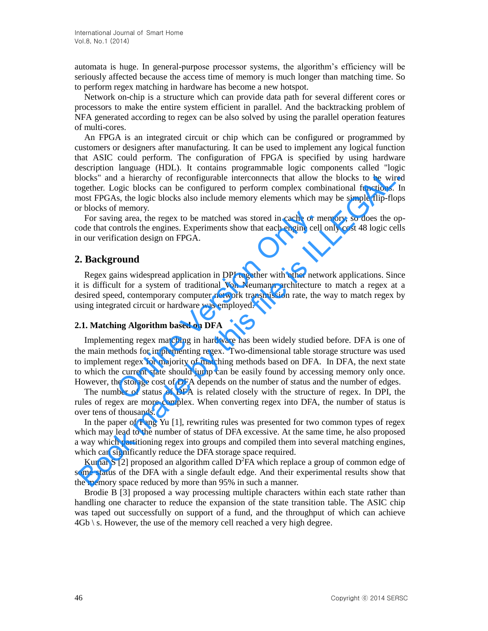automata is huge. In general-purpose processor systems, the algorithm's efficiency will be seriously affected because the access time of memory is much longer than matching time. So to perform regex matching in hardware has become a new hotspot.

Network on-chip is a structure which can provide data path for several different cores or processors to make the entire system efficient in parallel. And the backtracking problem of NFA generated according to regex can be also solved by using the parallel operation features of multi-cores.

An FPGA is an [integrated circuit](http://en.wikipedia.org/wiki/Integrated_circuit) or chip which can be configured or programmed by customers or designers after manufacturing. It can be used to implement any logical function that ASIC could perform. The configuration of FPGA is specified by using [hardware](http://en.wikipedia.org/wiki/Hardware_description_language)  [description language](http://en.wikipedia.org/wiki/Hardware_description_language) (HDL). It contains [programmable logic](http://en.wikipedia.org/wiki/Programmable_logic_device) components called "logic blocks" and a hierarchy of reconfigurable interconnects that allow the blocks to be wired together. Logic blocks can be configured to perform complex combinational functions. In most FPGAs, the logic blocks also include memory elements which may be simple flip-flops or blocks of memory.

For saving area, the regex to be matched was stored in cache or memory, so does the opcode that controls the engines. Experiments show that each engine cell only cost 48 logic cells in our verification design on FPGA.

# **2. Background**

Regex gains widespread application in DPI together with other network applications. Since it is difficult for a system of traditional Von Neumann architecture to match a regex at a desired speed, contemporary computer network transmission rate, the way to match regex by using integrated circuit or hardware was employed.

#### **2.1. Matching Algorithm based on DFA**

Implementing regex matching in hardware has been widely studied before. DFA is one of the main methods for implementing regex. Two-dimensional table storage structure was used to implement regex for majority of matching methods based on DFA. In DFA, the next state to which the current state should jump can be easily found by accessing memory only once. However, the storage cost of DFA depends on the number of status and the number of edges. mentary.<br>
In area, the regex to be matched was stored in cache or m<br>
Introls the engines. Experiments show that each engine cell<br>
cation design on FPGA.<br> **Ound**<br>
In swidespread application in DPI together with other netwer Example the constant of methano a preaction and propagation and proposes and proposeder. Logic blocks to be wire<br>pogeber. Logic blocks can be configurable interconnects that allow the blocks to be wire<br>pogeber. Logic block

The number of status of DFA is related closely with the structure of regex. In DPI, the rules of regex are more complex. When converting regex into DFA, the number of status is over tens of thousands.

In the paper of Fang Yu [1], rewriting rules was presented for two common types of regex which may lead to the number of status of DFA excessive. At the same time, he also proposed a way which partitioning regex into groups and compiled them into several matching engines, which can significantly reduce the DFA storage space required.

Kumar S [2] proposed an algorithm called  $D^2FA$  which replace a group of common edge of some status of the DFA with a single default edge. And their experimental results show that the memory space reduced by more than 95% in such a manner.

Brodie B [3] proposed a way processing multiple characters within each state rather than handling one character to reduce the expansion of the state transition table. The ASIC chip was taped out successfully on support of a fund, and the throughput of which can achieve  $4Gb \ s.$  However, the use of the memory cell reached a very high degree.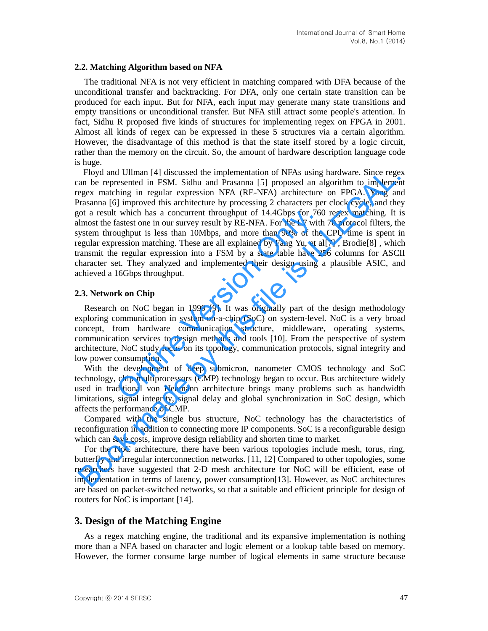#### **2.2. Matching Algorithm based on NFA**

The traditional NFA is not very efficient in matching compared with DFA because of the unconditional transfer and backtracking. For DFA, only one certain state transition can be produced for each input. But for NFA, each input may generate many state transitions and empty transitions or unconditional transfer. But NFA still attract some people's attention. In fact, Sidhu R proposed five kinds of structures for implementing regex on FPGA in 2001. Almost all kinds of regex can be expressed in these 5 structures via a certain algorithm. However, the disadvantage of this method is that the state itself stored by a logic circuit, rather than the memory on the circuit. So, the amount of hardware description language code is huge.

Floyd and Ullman [4] discussed the implementation of NFAs using hardware. Since regex can be represented in FSM. Sidhu and Prasanna [5] proposed an algorithm to implement regex matching in regular expression NFA (RE-NFA) architecture on FPGA. Yang and Prasanna [6] improved this architecture by processing 2 characters per clock cycle, and they got a result which has a concurrent throughput of 14.4Gbps for 760 regex matching. It is almost the fastest one in our survey result by RE-NFA. For the L7 with 70 protocol filters, the system throughput is less than 10Mbps, and more than 90% of the CPU time is spent in regular expression matching. These are all explained by Fang Yu, et al[7] , Brodie[8] , which transmit the regular expression into a FSM by a state table have 256 columns for ASCII character set. They analyzed and implemented their design using a plausible ASIC, and achieved a 16Gbps throughput. Consumption<br>
Subset one in our survey result by RE-NFA. For the L7 with<br>
and the U.7 with<br>
subset one in our survey result by RE-NFA. For the L7 with<br>
subset on matching. These are all explained by Fang Yu, et all<br>
resion Floyd and Ullman [4] discussed the implementation of NFAs using hardware. Since regerated in FSM. Sidhu and Prasaman [5] proposed an algorithm to implementation of NFAs using hardware. Since regerate matching in regular ex

## **2.3. Network on Chip**

Research on NoC began in 1999 [9]. It was originally part of the design methodology exploring communication in system-on-a-chip (SoC) on system-level. NoC is a very broad concept, from hardware communication structure, middleware, operating systems, communication services to design methods and tools [10]. From the perspective of system architecture, NoC study focus on its topology, communication protocols, signal integrity and low power consumption.

With the development of deep submicron, nanometer CMOS technology and SoC technology, chip multiprocessors (CMP) technology began to occur. Bus architecture widely used in traditional von Neumann architecture brings many problems such as bandwidth limitations, signal integrity, signal delay and global synchronization in SoC design, which affects the performance of CMP.

Compared with the single bus structure, NoC technology has the characteristics of reconfiguration in addition to connecting more IP components. SoC is a reconfigurable design which can save costs, improve design reliability and shorten time to market.

For the NoC architecture, there have been various topologies include mesh, torus, ring, butterfly and irregular interconnection networks. [11, 12] Compared to other topologies, some researchers have suggested that 2-D mesh architecture for NoC will be efficient, ease of implementation in terms of latency, power consumption[13]. However, as NoC architectures are based on packet-switched networks, so that a suitable and efficient principle for design of routers for NoC is important [14].

# **3. Design of the Matching Engine**

As a regex matching engine, the traditional and its expansive implementation is nothing more than a NFA based on character and logic element or a lookup table based on memory. However, the former consume large number of logical elements in same structure because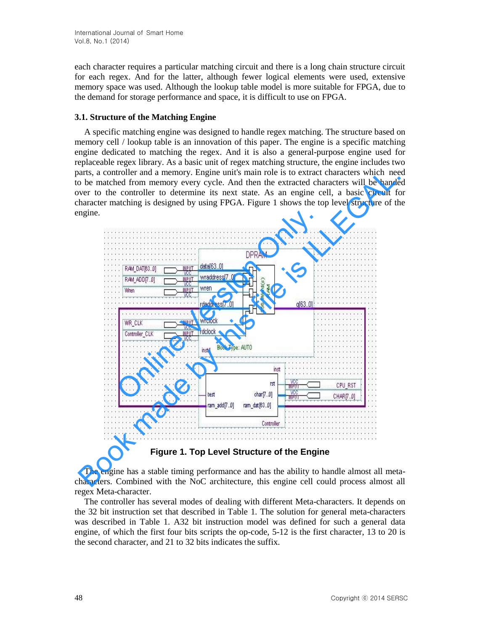each character requires a particular matching circuit and there is a long chain structure circuit for each regex. And for the latter, although fewer logical elements were used, extensive memory space was used. Although the lookup table model is more suitable for FPGA, due to the demand for storage performance and space, it is difficult to use on FPGA.

#### **3.1. Structure of the Matching Engine**

A specific matching engine was designed to handle regex matching. The structure based on memory cell / lookup table is an innovation of this paper. The engine is a specific matching engine dedicated to matching the regex. And it is also a general-purpose engine used for replaceable regex library. As a basic unit of regex matching structure, the engine includes two parts, a controller and a memory. Engine unit's main role is to extract characters which need to be matched from memory every cycle. And then the extracted characters will be handed over to the controller to determine its next state. As an engine cell, a basic circuit for character matching is designed by using FPGA. Figure 1 shows the top level structure of the engine.



**Figure 1. Top Level Structure of the Engine** 

The engine has a stable timing performance and has the ability to handle almost all metacharacters. Combined with the NoC architecture, this engine cell could process almost all regex Meta-character.

The controller has several modes of dealing with different Meta-characters. It depends on the 32 bit instruction set that described in Table 1. The solution for general meta-characters was described in Table 1. A32 bit instruction model was defined for such a general data engine, of which the first four bits scripts the op-code, 5-12 is the first character, 13 to 20 is the second character, and 21 to 32 bits indicates the suffix.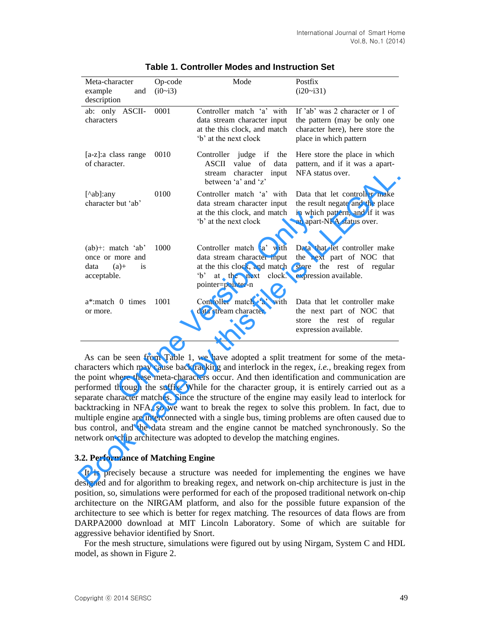| Meta-character<br>example<br>and<br>description                                 | Op-code<br>(i0~i3) | Mode                                                                                                                                               | Postfix<br>$(i20~\sim i31)$                                                                                                                                                                                                                                                                                                                                                                                                                                                                                                                                                                                                                                                                                                                                          |
|---------------------------------------------------------------------------------|--------------------|----------------------------------------------------------------------------------------------------------------------------------------------------|----------------------------------------------------------------------------------------------------------------------------------------------------------------------------------------------------------------------------------------------------------------------------------------------------------------------------------------------------------------------------------------------------------------------------------------------------------------------------------------------------------------------------------------------------------------------------------------------------------------------------------------------------------------------------------------------------------------------------------------------------------------------|
| ab: only ASCII-<br>characters                                                   | 0001               | Controller match 'a' with<br>data stream character input<br>at the this clock, and match<br>b' at the next clock                                   | If 'ab' was 2 character or 1 of<br>the pattern (may be only one<br>character here), here store the<br>place in which pattern                                                                                                                                                                                                                                                                                                                                                                                                                                                                                                                                                                                                                                         |
| [a-z]:a class range<br>of character.                                            | 0010               | Controller judge if the<br>ASCII<br>value of<br>data<br>stream character<br>input<br>between 'a' and 'z'                                           | Here store the place in which<br>pattern, and if it was a apart-<br>NFA status over.                                                                                                                                                                                                                                                                                                                                                                                                                                                                                                                                                                                                                                                                                 |
| [^ab]:any<br>character but 'ab'                                                 | 0100               | Controller match 'a' with<br>data stream character input<br>at the this clock, and match<br>b' at the next clock                                   | Data that let controller make<br>the result negate and the place<br>in which pattern, and if it was<br>an apart-NFA status over.                                                                                                                                                                                                                                                                                                                                                                                                                                                                                                                                                                                                                                     |
| $(ab)$ +: match 'ab'<br>once or more and<br>$(a)+$<br>is<br>data<br>acceptable. | 1000               | Controller match 'a' with<br>data stream character input<br>at the this clock, and match<br>$\Delta$<br>at the next<br>clock.<br>pointer=pointer-n | Data that let controller make<br>the next part of NOC that<br>store the rest of regular<br>expression available.                                                                                                                                                                                                                                                                                                                                                                                                                                                                                                                                                                                                                                                     |
| a <sup>*</sup> :match 0 times<br>or more.                                       | 1001               | Controller match 'a' with<br>data stream character                                                                                                 | Data that let controller make<br>the next part of NOC that<br>the rest of regular<br>store<br>expression available.                                                                                                                                                                                                                                                                                                                                                                                                                                                                                                                                                                                                                                                  |
|                                                                                 |                    | etwork on-chip architecture was adopted to develop the matching engines.                                                                           | As can be seen from Table 1, we have adopted a split treatment for some of the meta<br>haracters which may cause backtracking and interlock in the regex, i.e., breaking regex fror<br>the point where these meta-characters occur. And then identification and communication are<br>eerformed through the suffix. While for the character group, it is entirely carried out as<br>eparate character matches. Since the structure of the engine may easily lead to interlock fo<br>acktracking in NFA, so we want to break the regex to solve this problem. In fact, due t<br>nultiple engine are interconnected with a single bus, timing problems are often caused due t<br>ous control, and the data stream and the engine cannot be matched synchronously. So th |
| 3.2. Performance of Matching Engine                                             |                    |                                                                                                                                                    |                                                                                                                                                                                                                                                                                                                                                                                                                                                                                                                                                                                                                                                                                                                                                                      |
|                                                                                 |                    |                                                                                                                                                    | It is precisely because a structure was needed for implementing the engines we have<br>lesigned and for algorithm to breaking regex, and network on-chip architecture is just in the                                                                                                                                                                                                                                                                                                                                                                                                                                                                                                                                                                                 |

| <b>Table 1. Controller Modes and Instruction Set</b> |  |
|------------------------------------------------------|--|
|------------------------------------------------------|--|

#### **3.2. Performance of Matching Engine**

It is precisely because a structure was needed for implementing the engines we have designed and for algorithm to breaking regex, and network on-chip architecture is just in the position, so, simulations were performed for each of the proposed traditional network on-chip architecture on the NIRGAM platform, and also for the possible future expansion of the architecture to see which is better for regex matching. The resources of data flows are from DARPA2000 download at MIT Lincoln Laboratory. Some of which are suitable for aggressive behavior identified by Snort.

For the mesh structure, simulations were figured out by using Nirgam, System C and HDL model, as shown in Figure 2.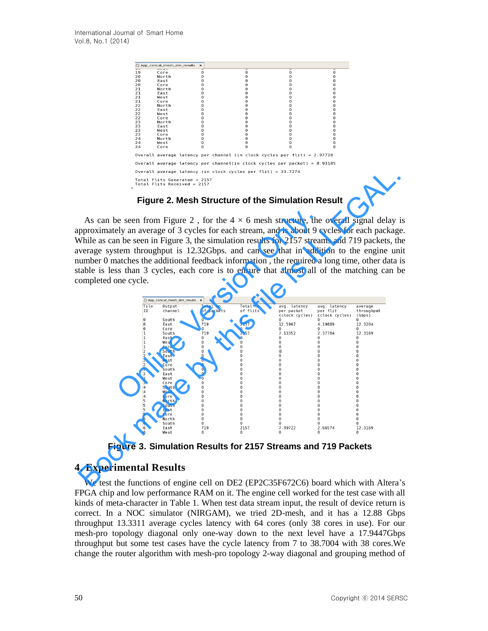| 19 | Core                                                          | 0 | 0                                                                           | റ        | റ |
|----|---------------------------------------------------------------|---|-----------------------------------------------------------------------------|----------|---|
| 20 | North                                                         | 0 | 0                                                                           |          |   |
| 20 | East                                                          | Θ |                                                                             |          |   |
| 20 | Core                                                          | Θ | റ                                                                           |          |   |
| 21 | North                                                         | Θ | റ                                                                           |          | റ |
| 21 | East                                                          | Θ | Θ                                                                           |          | Θ |
| 21 | West                                                          | 0 | Θ                                                                           | Θ        | Θ |
| 21 | Core                                                          | Θ | Θ                                                                           |          | Θ |
| 22 | North                                                         | 0 | Θ                                                                           | Θ        | Θ |
| 22 | East                                                          | 0 | റ                                                                           | റ        | റ |
| 22 | West                                                          | Θ | റ                                                                           |          | Θ |
| 22 | Core                                                          | 0 | Θ                                                                           | ค        | Θ |
| 23 | North                                                         | Θ | Θ                                                                           | Θ        | Θ |
| 23 | East                                                          | 0 | Θ                                                                           |          |   |
| 23 | West                                                          | Θ | Θ                                                                           | Θ        | Θ |
| 23 | Core                                                          | Θ | റ                                                                           |          | റ |
| 24 | North                                                         | 0 | റ                                                                           | Θ        | 0 |
| 24 | West                                                          | 0 | $\Omega$                                                                    | 0        | 0 |
| 24 | Core                                                          | 0 | $\Omega$                                                                    | $\Omega$ | Θ |
|    |                                                               |   | Overall average latency per channel (in clock cycles per flit) = $2.97728$  |          |   |
|    |                                                               |   | Overall average latency per channel(in clock cycles per packet) = $8.93185$ |          |   |
|    |                                                               |   | Overall average latency (in clock cycles per flit) = 33.7274                |          |   |
|    | Total Flits Generated = $2157$<br>Total Flits Received = 2157 |   |                                                                             |          |   |

## **Figure 2. Mesh Structure of the Simulation Result**

|                     |                             |                      |                              | As can be seen from Figure 2, for the $4 \times 6$ mesh structure, the overall signal delay i  |                            |                      |
|---------------------|-----------------------------|----------------------|------------------------------|------------------------------------------------------------------------------------------------|----------------------------|----------------------|
|                     |                             |                      |                              | pproximately an average of 3 cycles for each stream, and is about 9 cycles for each package    |                            |                      |
|                     |                             |                      |                              | While as can be seen in Figure 3, the simulation results for 2157 streams and 719 packets, the |                            |                      |
|                     |                             |                      |                              |                                                                                                |                            |                      |
|                     |                             |                      |                              | verage system throughput is 12.32Gbps. and can see that in addition to the engine un           |                            |                      |
|                     |                             |                      |                              | umber 0 matches the additional feedback information, the required a long time, other data i    |                            |                      |
|                     |                             |                      |                              |                                                                                                |                            |                      |
|                     |                             |                      |                              | table is less than 3 cycles, each core is to ensure that almost all of the matching can b      |                            |                      |
| ompleted one cycle. |                             |                      |                              |                                                                                                |                            |                      |
|                     |                             |                      |                              |                                                                                                |                            |                      |
|                     |                             |                      |                              |                                                                                                |                            |                      |
|                     | App_concat_mesh_sim_results |                      |                              |                                                                                                |                            |                      |
| Tile                | Output                      | Total no.            | Total no.                    | avg. latency                                                                                   | avg. latency               | average              |
| ID                  | channel                     | of packets           | of flits                     | per packet<br>(clock cycles)                                                                   | per flit<br>(clock cycles) | throughput<br>(Gbps) |
| 0<br>$\Omega$       | South<br>East               | 719                  | 0<br>2157                    | 12.5967                                                                                        | 4.19889                    | 12.3204              |
| $\Omega$            | Core                        | െ                    | 0                            | 0                                                                                              | $\Theta$                   | Θ                    |
| 11                  | South                       | 719                  | 2157                         | 7.13352                                                                                        | 2.37784                    | 12.3169              |
| 1                   | East                        | $\Theta$             |                              |                                                                                                |                            |                      |
| 1                   | West                        | 0                    | 0                            | 0                                                                                              | 0                          | $\Theta$             |
| 1<br>$\overline{2}$ | Core<br>South               | $\Omega$<br>$\Omega$ | 0<br>0                       | $\Theta$<br>$\Theta$                                                                           | 0<br>0                     | $\Theta$<br>$\Omega$ |
| $\overline{2}$      | East                        | 0                    | 0                            | 0                                                                                              |                            |                      |
| $\overline{2}$      | West                        | 0                    | 0                            | 0                                                                                              | $\Theta$                   | $\Theta$             |
|                     | Core                        | $\Omega$             | 0                            | $\Theta$                                                                                       | $\Theta$                   | 0                    |
| 2                   |                             | $\Theta$             | 0                            | $\Theta$                                                                                       | 0                          | 0                    |
| 3                   | South                       |                      |                              |                                                                                                |                            |                      |
| 3                   | East                        | $\Theta$<br>$\Theta$ | 0                            | 0<br>0                                                                                         | $\Theta$                   |                      |
| 3<br>3              | West<br>Core                | 0                    | 0<br>0                       | 0                                                                                              | $\Theta$<br>0              | 0<br>0               |
| 4                   | South                       | 0                    | 0                            | 0                                                                                              | 0                          | 0                    |
| 4                   | West                        | 0                    | 0                            | 0                                                                                              | 0                          |                      |
| 4                   | Core                        | 0<br>$\Omega$        | 0                            | 0<br>$\Omega$                                                                                  | 0<br>$\Theta$              | 0<br>0               |
| 5<br>5              | North<br>South              | $\Theta$             | $\boldsymbol{0}$<br>$\Theta$ | $\Theta$                                                                                       | $\Theta$                   | 0                    |
| 5                   | East                        | $\Theta$             | 0                            | $\Theta$                                                                                       | $\Theta$                   | 0                    |
| 5                   | Core                        |                      | $\Theta$                     | 0                                                                                              | $\Theta$                   |                      |
| 6                   | North                       | $\Omega$<br>$\Theta$ | $\Theta$                     | 0<br>0                                                                                         | $\Theta$<br>0              | $\Theta$<br>0        |
| 6<br>6<br>6         | South<br>East               | 719                  | 0<br>2157                    | 7.99722                                                                                        | 2.66574                    | 12.3169              |

**Figure 3. Simulation Results for 2157 Streams and 719 Packets**

# **4. Experimental Results**

We test the functions of engine cell on DE2 (EP2C35F672C6) board which with Altera's FPGA chip and low performance RAM on it. The engine cell worked for the test case with all kinds of meta-character in Table 1. When test data stream input, the result of device return is correct. In a NOC simulator (NIRGAM), we tried 2D-mesh, and it has a 12.88 Gbps throughput 13.3311 average cycles latency with 64 cores (only 38 cores in use). For our mesh-pro topology diagonal only one-way down to the next level have a 17.9447Gbps throughput but some test cases have the cycle latency from 7 to 38.7004 with 38 cores.We change the router algorithm with mesh-pro topology 2-way diagonal and grouping method of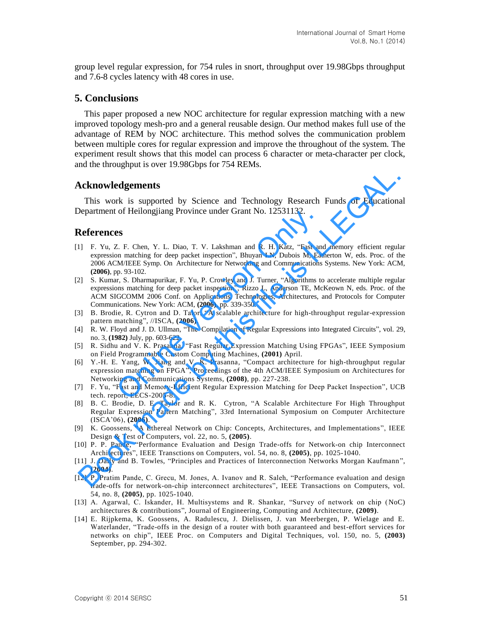group level regular expression, for 754 rules in snort, throughput over 19.98Gbps throughput and 7.6-8 cycles latency with 48 cores in use.

# **5. Conclusions**

This paper proposed a new NOC architecture for regular expression matching with a new improved topology mesh-pro and a general reusable design. Our method makes full use of the advantage of REM by NOC architecture. This method solves the communication problem between multiple cores for regular expression and improve the throughout of the system. The experiment result shows that this model can process 6 character or meta-character per clock, and the throughput is over 19.98Gbps for 754 REMs.

## **Acknowledgements**

This work is supported by Science and Technology Research Funds of Educational Department of Heilongjiang Province under Grant No. 12531132.

## **References**

- [1] F. Yu, Z. F. Chen, Y. L. Diao, T. V. Lakshman and R. H. Katz, "Fast and memory efficient regular expression matching for deep packet inspection", Bhuyan LN, Dubois M, Eatherton W, eds. Proc. of the 2006 ACM/IEEE Symp. On Architecture for Networking and Communications Systems. New York: ACM, **(2006)**, pp. 93-102. or Hellongylang Province under Grant No. 12531132.<br>
2. F. Chen, Y. L. Diao, T. V. Lakshman and R. H. Katz, "Fast and<br>
2. M. Chen, Y. L. Diao, T. V. Lakshman and R. H. Katz, "Fast and<br>
2. M. Ext. The Symp. On Architecture f **Acknowledgements**<br>
This work is supported by Science and Technology Research Funds of Education<br>
Pepartment of Hellongjiang Province under Grant No. 12531132.<br> **Acferences**<br>
IF. Yu, Z. F. Chen, Y. L. Diso, T. V. Lakshman
- [2] S. Kumar, S. Dharmapurikar, F. Yu, P. Crowley and J. Turner, "Algorithms to accelerate multiple regular expressions matching for deep packet inspection", Rizzo L, Anderson TE, McKeown N, eds. Proc. of the ACM SIGCOMM 2006 Conf. on Applications, Technologies, Architectures, and Protocols for Computer Communications. New York: ACM, **(2006)**, pp. 339-350.
- [3] B. Brodie, R. Cytron and D. Talor, "A scalable architecture for high-throughput regular-expression pattern matching", //ISCA, **(2006)**.
- [4] R. W. Floyd and J. D. Ullman, "The Compilation of Regular Expressions into Integrated Circuits", vol. 29, no. 3, **(1982)** July, pp. 603-622.
- [5] R. Sidhu and V. K. Prasanna, "Fast Regular Expression Matching Using FPGAs", IEEE Symposium on Field Programmable Custom Computing Machines, **(2001)** April.
- [6] Y.-H. E. Yang, W. Jiang and V. K. Prasanna, "Compact architecture for high-throughput regular expression matching on FPGA", Proceedings of the 4th ACM/IEEE Symposium on Architectures for Networking and Communications Systems, **(2008)**, pp. 227-238.
- [7] F. Yu, "Fast and Memory-Efficient Regular Expression Matching for Deep Packet Inspection", UCB tech. report, EECS-2005-8.
- [8] B. C. Brodie, D. E. Taylor and R. K. Cytron, "A Scalable Architecture For High Throughput Regular Expression Pattern Matching", 33rd International Symposium on Computer Architecture (ISCA'06), **(2006)**.
- [9] K. Goossens, "A Ethereal Network on Chip: Concepts, Architectures, and Implementations", IEEE Design & Test of Computers, vol. 22, no. 5, **(2005)**.
- [10] P. P. Pande, "Performance Evaluation and Design Trade-offs for Network-on chip Interconnect Architectures", IEEE Transctions on Computers, vol. 54, no. 8, **(2005)**, pp. 1025-1040.
- [11] J. Dally and B. Towles, "Principles and Practices of Interconnection Networks Morgan Kaufmann", **(2004)**.
- [12] P. Pratim Pande, C. Grecu, M. Jones, A. Ivanov and R. Saleh, "Performance evaluation and design trade-offs for network-on-chip interconnect architectures", IEEE Transactions on Computers, vol. 54, no. 8, **(2005)**, pp. 1025-1040.
- [13] A. Agarwal, C. Iskander, H. Multisystems and R. Shankar, "Survey of network on chip (NoC) architectures & contributions", Journal of Engineering, Computing and Architecture, **(2009)**.
- [14] E. Rijpkema, K. Goossens, A. Radulescu, J. Dielissen, J. van Meerbergen, P. Wielage and E. Waterlander, "Trade-offs in the design of a router with both guaranteed and best-effort services for networks on chip", IEEE Proc. on Computers and Digital Techniques, vol. 150, no. 5, **(2003)** September, pp. 294-302.